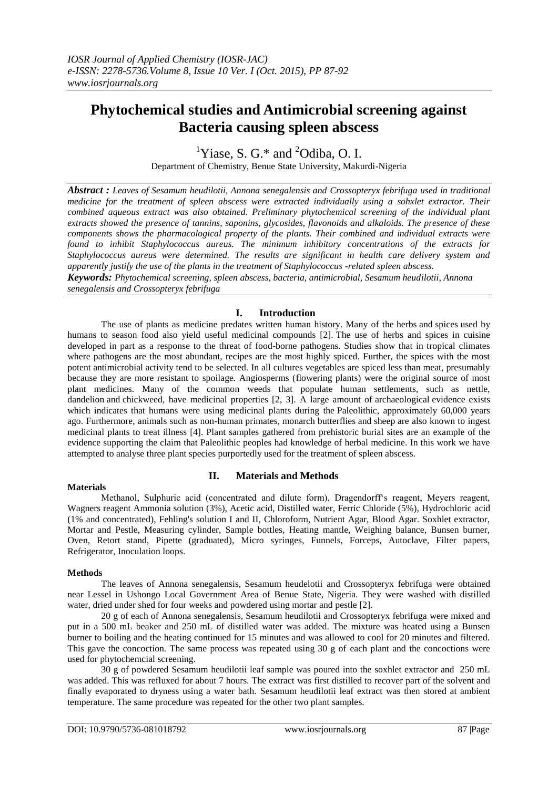# **Phytochemical studies and Antimicrobial screening against Bacteria causing spleen abscess**

<sup>1</sup>Yiase, S. G.\* and  ${}^{2}$ Odiba, O. I.

Department of Chemistry, Benue State University, Makurdi-Nigeria

*Abstract : Leaves of Sesamum heudilotii, Annona senegalensis and Crossopteryx febrifuga used in traditional medicine for the treatment of spleen abscess were extracted individually using a sohxlet extractor. Their combined aqueous extract was also obtained. Preliminary phytochemical screening of the individual plant extracts showed the presence of tannins, saponins, glycosides, flavonoids and alkaloids. The presence of these components shows the pharmacological property of the plants. Their combined and individual extracts were found to inhibit Staphylococcus aureus. The minimum inhibitory concentrations of the extracts for Staphylococcus aureus were determined. The results are significant in health care delivery system and apparently justify the use of the plants in the treatment of Staphylococcus -related spleen abscess.*

*Keywords: Phytochemical screening, spleen abscess, bacteria, antimicrobial, Sesamum heudilotii, Annona senegalensis and Crossopteryx febrifuga*

# **I. Introduction**

The use of plants as medicine predates written human history. Many of the [herbs](https://en.wikipedia.org/wiki/Herb) and [spices](https://en.wikipedia.org/wiki/Spice) used by humans to season food also yield useful medicinal compounds [2]. The use of herbs and spices in cuisine developed in part as a response to the threat of food-borne pathogens. Studies show that in tropical climates where pathogens are the most abundant, recipes are the most highly spiced. Further, the spices with the most potent [antimicrobial](https://en.wikipedia.org/wiki/Antimicrobial) activity tend to be selected. In all cultures vegetables are spiced less than meat, presumably because they are more resistant to spoilage. Angiosperms [\(flowering plants\)](https://en.wikipedia.org/wiki/Flowering_plant) were the original source of most plant medicines. Many of the common weeds that populate human settlements, such as nettle, [dandelion](https://en.wikipedia.org/wiki/Dandelion) and [chickweed,](https://en.wikipedia.org/wiki/Chickweed) have medicinal properties [2, 3]. A large amount of [archaeological](https://en.wikipedia.org/wiki/Archaeological) evidence exists which indicates that humans were using medicinal plants during the [Paleolithic,](https://en.wikipedia.org/wiki/Paleolithic) approximately 60,000 years ago. Furthermore, animals such as non-human [primates,](https://en.wikipedia.org/wiki/Primates) [monarch butterflies](https://en.wikipedia.org/wiki/Monarch_butterflies) and [sheep](https://en.wikipedia.org/wiki/Sheep) are also known to ingest medicinal plants to treat illness [4]. Plant samples gathered from prehistoric burial sites are an example of the evidence supporting the claim that Paleolithic peoples had knowledge of herbal medicine. In this work we have attempted to analyse three plant species purportedly used for the treatment of spleen abscess.

## **Materials**

# **II. Materials and Methods**

Methanol, Sulphuric acid (concentrated and dilute form), Dragendorff's reagent, Meyers reagent, Wagners reagent Ammonia solution (3%), Acetic acid, Distilled water, Ferric Chloride (5%), Hydrochloric acid (1% and concentrated), Fehling's solution I and II, Chloroform, Nutrient Agar, Blood Agar. Soxhlet extractor, Mortar and Pestle, Measuring cylinder, Sample bottles, Heating mantle, Weighing balance, Bunsen burner, Oven, Retort stand, Pipette (graduated), Micro syringes, Funnels, Forceps, Autoclave, Filter papers, Refrigerator, Inoculation loops.

## **Methods**

The leaves of Annona senegalensis, Sesamum heudelotii and Crossopteryx febrifuga were obtained near Lessel in Ushongo Local Government Area of Benue State, Nigeria. They were washed with distilled water, dried under shed for four weeks and powdered using mortar and pestle [2].

20 g of each of Annona senegalensis, Sesamum heudilotii and Crossopteryx febrifuga were mixed and put in a 500 mL beaker and 250 mL of distilled water was added. The mixture was heated using a Bunsen burner to boiling and the heating continued for 15 minutes and was allowed to cool for 20 minutes and filtered. This gave the concoction. The same process was repeated using 30 g of each plant and the concoctions were used for phytochemcial screening.

30 g of powdered Sesamum heudilotii leaf sample was poured into the soxhlet extractor and 250 mL was added. This was refluxed for about 7 hours. The extract was first distilled to recover part of the solvent and finally evaporated to dryness using a water bath. Sesamum heudilotii leaf extract was then stored at ambient temperature. The same procedure was repeated for the other two plant samples.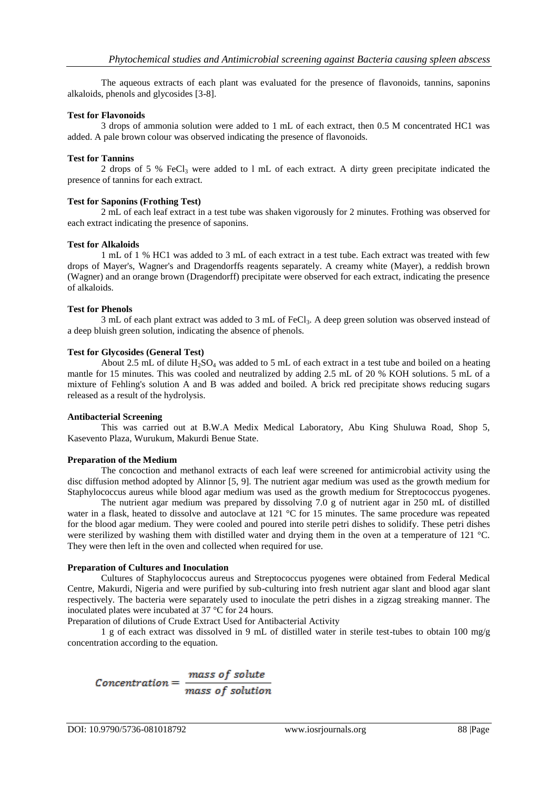The aqueous extracts of each plant was evaluated for the presence of flavonoids, tannins, saponins alkaloids, phenols and glycosides [3-8].

## **Test for Flavonoids**

3 drops of ammonia solution were added to 1 mL of each extract, then 0.5 M concentrated HC1 was added. A pale brown colour was observed indicating the presence of flavonoids.

## **Test for Tannins**

2 drops of 5 % FeCl<sub>3</sub> were added to 1 mL of each extract. A dirty green precipitate indicated the presence of tannins for each extract.

## **Test for Saponins (Frothing Test)**

2 mL of each leaf extract in a test tube was shaken vigorously for 2 minutes. Frothing was observed for each extract indicating the presence of saponins.

## **Test for Alkaloids**

1 mL of 1 % HC1 was added to 3 mL of each extract in a test tube. Each extract was treated with few drops of Mayer's, Wagner's and Dragendorffs reagents separately. A creamy white (Mayer), a reddish brown (Wagner) and an orange brown (Dragendorff) precipitate were observed for each extract, indicating the presence of alkaloids.

## **Test for Phenols**

3 mL of each plant extract was added to 3 mL of FeCl<sub>3</sub>. A deep green solution was observed instead of a deep bluish green solution, indicating the absence of phenols.

## **Test for Glycosides (General Test)**

About 2.5 mL of dilute  $H_2SO_4$  was added to 5 mL of each extract in a test tube and boiled on a heating mantle for 15 minutes. This was cooled and neutralized by adding 2.5 mL of 20 % KOH solutions. 5 mL of a mixture of Fehling's solution A and B was added and boiled. A brick red precipitate shows reducing sugars released as a result of the hydrolysis.

## **Antibacterial Screening**

This was carried out at B.W.A Medix Medical Laboratory, Abu King Shuluwa Road, Shop 5, Kasevento Plaza, Wurukum, Makurdi Benue State.

## **Preparation of the Medium**

The concoction and methanol extracts of each leaf were screened for antimicrobial activity using the disc diffusion method adopted by Alinnor [5, 9]. The nutrient agar medium was used as the growth medium for Staphylococcus aureus while blood agar medium was used as the growth medium for Streptococcus pyogenes.

The nutrient agar medium was prepared by dissolving 7.0 g of nutrient agar in 250 mL of distilled water in a flask, heated to dissolve and autoclave at 121 °C for 15 minutes. The same procedure was repeated for the blood agar medium. They were cooled and poured into sterile petri dishes to solidify. These petri dishes were sterilized by washing them with distilled water and drying them in the oven at a temperature of 121 °C. They were then left in the oven and collected when required for use.

## **Preparation of Cultures and Inoculation**

Cultures of Staphylococcus aureus and Streptococcus pyogenes were obtained from Federal Medical Centre, Makurdi, Nigeria and were purified by sub-culturing into fresh nutrient agar slant and blood agar slant respectively. The bacteria were separately used to inoculate the petri dishes in a zigzag streaking manner. The inoculated plates were incubated at 37 °C for 24 hours.

Preparation of dilutions of Crude Extract Used for Antibacterial Activity

1 g of each extract was dissolved in 9 mL of distilled water in sterile test-tubes to obtain 100 mg/g concentration according to the equation.

$$
Concentration = \frac{mass\ of\ solute}{mass\ of\ solution}
$$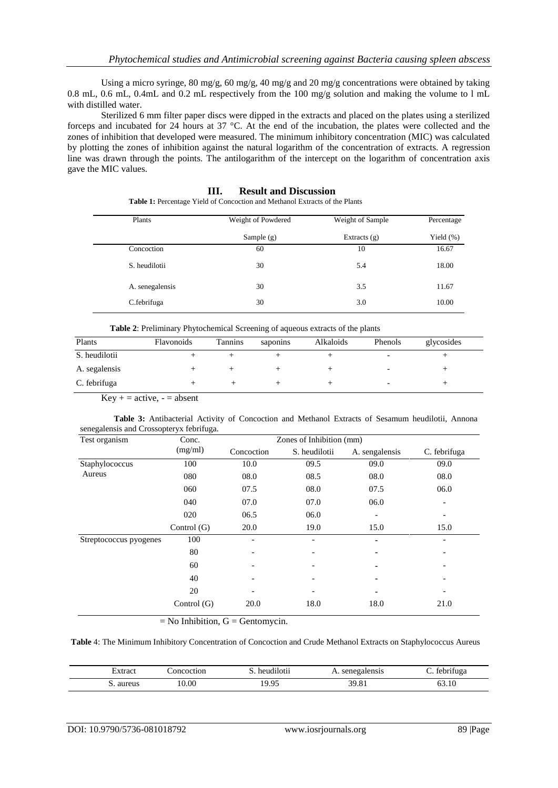Using a micro syringe, 80 mg/g, 60 mg/g, 40 mg/g and 20 mg/g concentrations were obtained by taking 0.8 mL, 0.6 mL, 0.4mL and 0.2 mL respectively from the 100 mg/g solution and making the volume to l mL with distilled water.

Sterilized 6 mm filter paper discs were dipped in the extracts and placed on the plates using a sterilized forceps and incubated for 24 hours at 37 °C. At the end of the incubation, the plates were collected and the zones of inhibition that developed were measured. The minimum inhibitory concentration (MIC) was calculated by plotting the zones of inhibition against the natural logarithm of the concentration of extracts. A regression line was drawn through the points. The antilogarithm of the intercept on the logarithm of concentration axis gave the MIC values.

# **III. Result and Discussion**

**Table 1:** Percentage Yield of Concoction and Methanol Extracts of the Plants

| Plants          | Weight of Powdered | Weight of Sample | Percentage   |  |
|-----------------|--------------------|------------------|--------------|--|
|                 | Sample $(g)$       | Extracts $(g)$   | Yield $(\%)$ |  |
| Concoction      | 60                 | 10               | 16.67        |  |
| S. heudilotii   | 30                 | 5.4              | 18.00        |  |
| A. senegalensis | 30                 | 3.5              | 11.67        |  |
| C.febrifuga     | 30                 | 3.0              | 10.00        |  |

| Table 2: Preliminary Phytochemical Screening of aqueous extracts of the plants |  |
|--------------------------------------------------------------------------------|--|
|--------------------------------------------------------------------------------|--|

| Plants        | Flavonoids | Tannins | saponins | Alkaloids | Phenols                  | glycosides |  |
|---------------|------------|---------|----------|-----------|--------------------------|------------|--|
| S. heudilotii |            |         |          |           |                          |            |  |
| A. segalensis |            |         |          |           | $\overline{\phantom{0}}$ |            |  |
| C. febrifuga  |            |         |          |           | -                        |            |  |

 $Key + = active, - = absent$ 

**Table 3:** Antibacterial Activity of Concoction and Methanol Extracts of Sesamum heudilotii, Annona senegalensis and Crossopteryx febrifuga.

| Test organism          | Conc.         | Zones of Inhibition (mm) |               |                |              |
|------------------------|---------------|--------------------------|---------------|----------------|--------------|
|                        | (mg/ml)       | Concoction               | S. heudilotii | A. sengalensis | C. febrifuga |
| Staphylococcus         | 100           | 10.0                     | 09.5          | 09.0           | 09.0         |
| Aureus                 | 080           | 08.0                     | 08.5          | 08.0           | 08.0         |
|                        | 060           | 07.5                     | 08.0          | 07.5           | 06.0         |
|                        | 040           | 07.0                     | 07.0          | 06.0           | -            |
|                        | 020           | 06.5                     | 06.0          |                |              |
|                        | Control $(G)$ | 20.0                     | 19.0          | 15.0           | 15.0         |
| Streptococcus pyogenes | 100           |                          |               | ۰              |              |
|                        | 80            | $\overline{\phantom{a}}$ |               | ۰              |              |
|                        | 60            | $\overline{\phantom{0}}$ |               | $\blacksquare$ |              |
|                        | 40            | $\overline{a}$           |               | ۰              |              |
|                        | 20            |                          |               | $\blacksquare$ |              |
|                        | Control $(G)$ | 20.0                     | 18.0          | 18.0           | 21.0         |

 $=$  No Inhibition,  $G =$  Gentomycin.

## **Table** 4: The Minimum Inhibitory Concentration of Concoction and Crude Methanol Extracts on Staphylococcus Aureus

| ≾xtract      | oncoction | heudilotii | senegalensis | $\cdot$ $\sim$<br>tebrituga |
|--------------|-----------|------------|--------------|-----------------------------|
| aureus<br>ົ້ | 0.00      | 19.95      | 39.81        | 10<br>03.IU                 |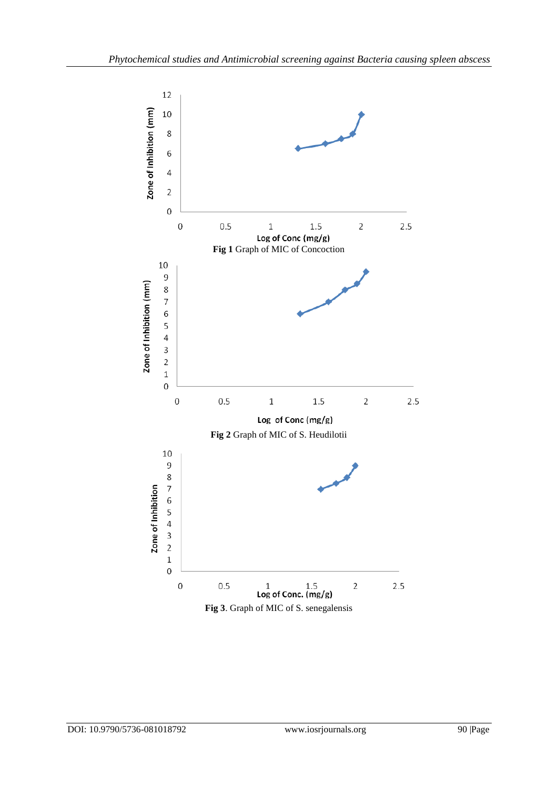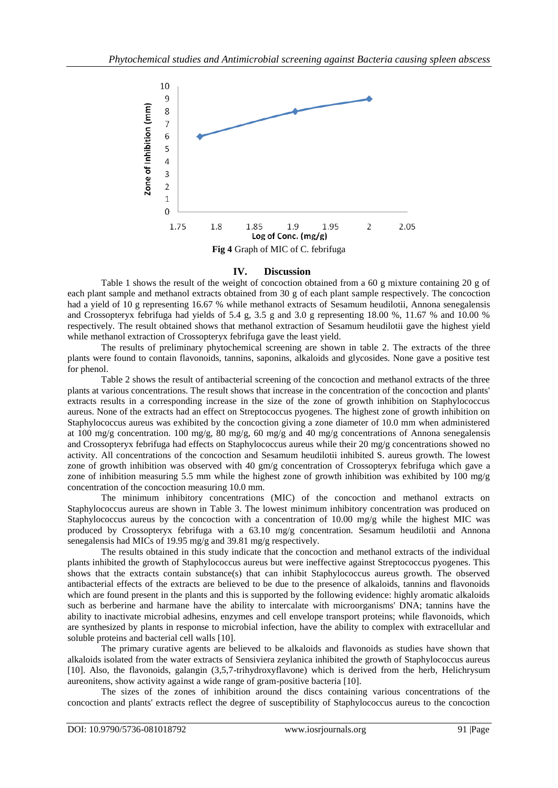

# **IV. Discussion**

Table 1 shows the result of the weight of concoction obtained from a 60 g mixture containing 20 g of each plant sample and methanol extracts obtained from 30 g of each plant sample respectively. The concoction had a yield of 10 g representing 16.67 % while methanol extracts of Sesamum heudilotii, Annona senegalensis and Crossopteryx febrifuga had yields of 5.4 g, 3.5 g and 3.0 g representing 18.00 %, 11.67 % and 10.00 % respectively. The result obtained shows that methanol extraction of Sesamum heudilotii gave the highest yield while methanol extraction of Crossopteryx febrifuga gave the least yield.

The results of preliminary phytochemical screening are shown in table 2. The extracts of the three plants were found to contain flavonoids, tannins, saponins, alkaloids and glycosides. None gave a positive test for phenol.

Table 2 shows the result of antibacterial screening of the concoction and methanol extracts of the three plants at various concentrations. The result shows that increase in the concentration of the concoction and plants' extracts results in a corresponding increase in the size of the zone of growth inhibition on Staphylococcus aureus. None of the extracts had an effect on Streptococcus pyogenes. The highest zone of growth inhibition on Staphylococcus aureus was exhibited by the concoction giving a zone diameter of 10.0 mm when administered at 100 mg/g concentration. 100 mg/g, 80 mg/g, 60 mg/g and 40 mg/g concentrations of Annona senegalensis and Crossopteryx febrifuga had effects on Staphylococcus aureus while their 20 mg/g concentrations showed no activity. All concentrations of the concoction and Sesamum heudilotii inhibited S. aureus growth. The lowest zone of growth inhibition was observed with 40 gm/g concentration of Crossopteryx febrifuga which gave a zone of inhibition measuring 5.5 mm while the highest zone of growth inhibition was exhibited by 100 mg/g concentration of the concoction measuring 10.0 mm.

The minimum inhibitory concentrations (MIC) of the concoction and methanol extracts on Staphylococcus aureus are shown in Table 3. The lowest minimum inhibitory concentration was produced on Staphylococcus aureus by the concoction with a concentration of  $10.00 \text{ mg/g}$  while the highest MIC was produced by Crossopteryx febrifuga with a 63.10 mg/g concentration. Sesamum heudilotii and Annona senegalensis had MICs of 19.95 mg/g and 39.81 mg/g respectively.

The results obtained in this study indicate that the concoction and methanol extracts of the individual plants inhibited the growth of Staphylococcus aureus but were ineffective against Streptococcus pyogenes. This shows that the extracts contain substance(s) that can inhibit Staphylococcus aureus growth. The observed antibacterial effects of the extracts are believed to be due to the presence of alkaloids, tannins and flavonoids which are found present in the plants and this is supported by the following evidence: highly aromatic alkaloids such as berberine and harmane have the ability to intercalate with microorganisms' DNA; tannins have the ability to inactivate microbial adhesins, enzymes and cell envelope transport proteins; while flavonoids, which are synthesized by plants in response to microbial infection, have the ability to complex with extracellular and soluble proteins and bacterial cell walls [10].

The primary curative agents are believed to be alkaloids and flavonoids as studies have shown that alkaloids isolated from the water extracts of Sensiviera zeylanica inhibited the growth of Staphylococcus aureus [10]. Also, the flavonoids, galangin (3,5,7-trihydroxyflavone) which is derived from the herb, Helichrysum aureonitens, show activity against a wide range of gram-positive bacteria [10].

The sizes of the zones of inhibition around the discs containing various concentrations of the concoction and plants' extracts reflect the degree of susceptibility of Staphylococcus aureus to the concoction